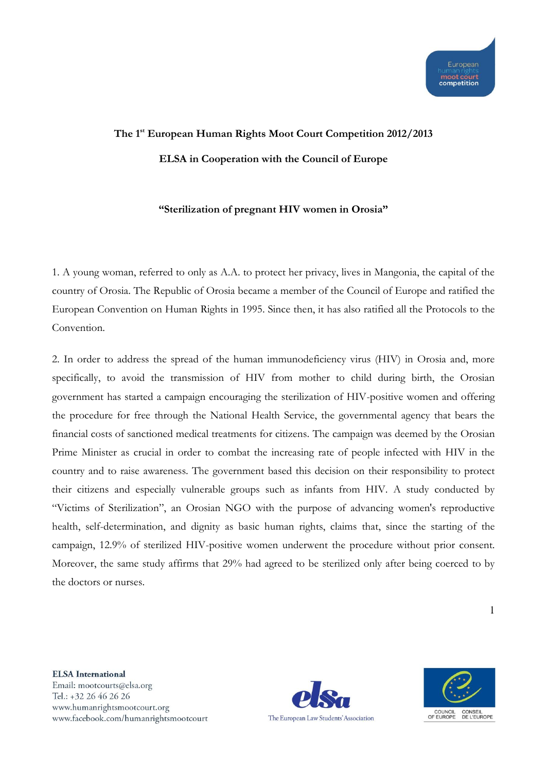## **The 1st European Human Rights Moot Court Competition 2012/2013 ELSA in Cooperation with the Council of Europe**

## **"Sterilization of pregnant HIV women in Orosia"**

1. A young woman, referred to only as A.A. to protect her privacy, lives in Mangonia, the capital of the country of Orosia. The Republic of Orosia became a member of the Council of Europe and ratified the European Convention on Human Rights in 1995. Since then, it has also ratified all the Protocols to the Convention.

2. In order to address the spread of the human immunodeficiency virus (HIV) in Orosia and, more specifically, to avoid the transmission of HIV from mother to child during birth, the Orosian government has started a campaign encouraging the sterilization of HIV-positive women and offering the procedure for free through the National Health Service, the governmental agency that bears the financial costs of sanctioned medical treatments for citizens. The campaign was deemed by the Orosian Prime Minister as crucial in order to combat the increasing rate of people infected with HIV in the country and to raise awareness. The government based this decision on their responsibility to protect their citizens and especially vulnerable groups such as infants from HIV. A study conducted by "Victims of Sterilization", an Orosian NGO with the purpose of advancing women's reproductive health, self-determination, and dignity as basic human rights, claims that, since the starting of the campaign, 12.9% of sterilized HIV-positive women underwent the procedure without prior consent. Moreover, the same study affirms that 29% had agreed to be sterilized only after being coerced to by the doctors or nurses.



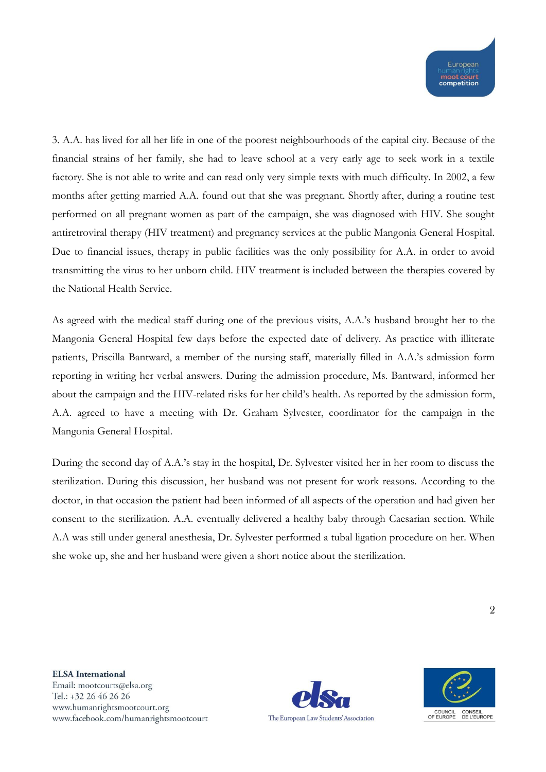3. A.A. has lived for all her life in one of the poorest neighbourhoods of the capital city. Because of the financial strains of her family, she had to leave school at a very early age to seek work in a textile factory. She is not able to write and can read only very simple texts with much difficulty. In 2002, a few months after getting married A.A. found out that she was pregnant. Shortly after, during a routine test performed on all pregnant women as part of the campaign, she was diagnosed with HIV. She sought antiretroviral therapy (HIV treatment) and pregnancy services at the public Mangonia General Hospital. Due to financial issues, therapy in public facilities was the only possibility for A.A. in order to avoid transmitting the virus to her unborn child. HIV treatment is included between the therapies covered by the National Health Service.

As agreed with the medical staff during one of the previous visits, A.A.'s husband brought her to the Mangonia General Hospital few days before the expected date of delivery. As practice with illiterate patients, Priscilla Bantward, a member of the nursing staff, materially filled in A.A.'s admission form reporting in writing her verbal answers. During the admission procedure, Ms. Bantward, informed her about the campaign and the HIV-related risks for her child's health. As reported by the admission form, A.A. agreed to have a meeting with Dr. Graham Sylvester, coordinator for the campaign in the Mangonia General Hospital.

During the second day of A.A.'s stay in the hospital, Dr. Sylvester visited her in her room to discuss the sterilization. During this discussion, her husband was not present for work reasons. According to the doctor, in that occasion the patient had been informed of all aspects of the operation and had given her consent to the sterilization. A.A. eventually delivered a healthy baby through Caesarian section. While A.A was still under general anesthesia, Dr. Sylvester performed a tubal ligation procedure on her. When she woke up, she and her husband were given a short notice about the sterilization.



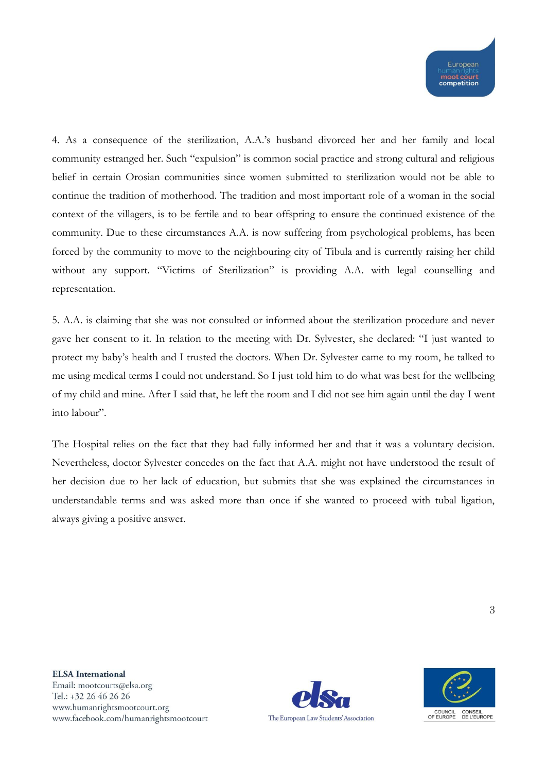4. As a consequence of the sterilization, A.A.'s husband divorced her and her family and local community estranged her. Such "expulsion" is common social practice and strong cultural and religious belief in certain Orosian communities since women submitted to sterilization would not be able to continue the tradition of motherhood. The tradition and most important role of a woman in the social context of the villagers, is to be fertile and to bear offspring to ensure the continued existence of the community. Due to these circumstances A.A. is now suffering from psychological problems, has been forced by the community to move to the neighbouring city of Tibula and is currently raising her child without any support. "Victims of Sterilization" is providing A.A. with legal counselling and representation.

5. A.A. is claiming that she was not consulted or informed about the sterilization procedure and never gave her consent to it. In relation to the meeting with Dr. Sylvester, she declared: "I just wanted to protect my baby's health and I trusted the doctors. When Dr. Sylvester came to my room, he talked to me using medical terms I could not understand. So I just told him to do what was best for the wellbeing of my child and mine. After I said that, he left the room and I did not see him again until the day I went into labour".

The Hospital relies on the fact that they had fully informed her and that it was a voluntary decision. Nevertheless, doctor Sylvester concedes on the fact that A.A. might not have understood the result of her decision due to her lack of education, but submits that she was explained the circumstances in understandable terms and was asked more than once if she wanted to proceed with tubal ligation, always giving a positive answer.